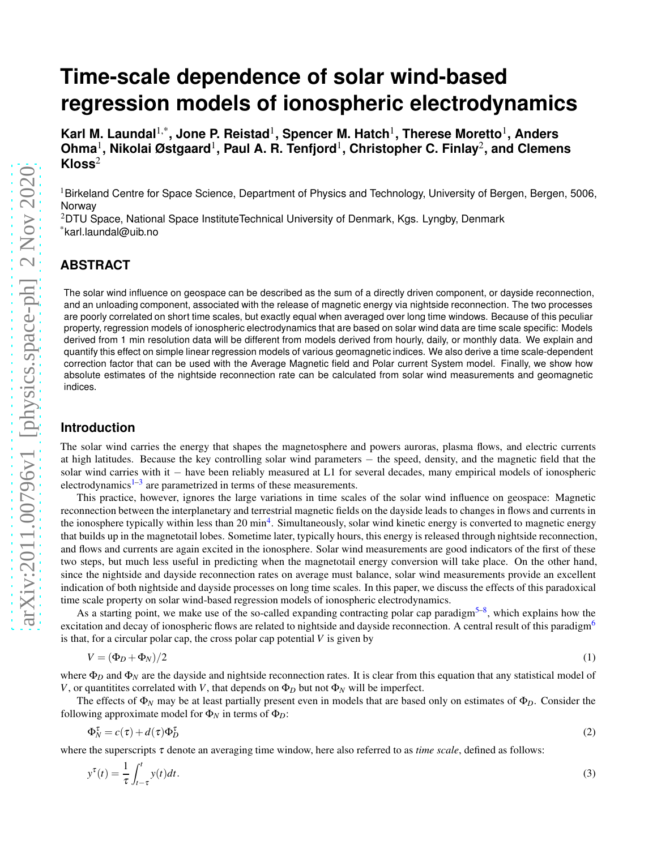# **Time-scale dependence of solar wind-based regression models of ionospheric electrodynamics**

**Karl M. Laundal**1,\***, Jone P. Reistad**<sup>1</sup> **, Spencer M. Hatch**<sup>1</sup> **, Therese Moretto**<sup>1</sup> **, Anders Ohma**<sup>1</sup> **, Nikolai Østgaard**<sup>1</sup> **, Paul A. R. Tenfjord**<sup>1</sup> **, Christopher C. Finlay**<sup>2</sup> **, and Clemens Kloss**<sup>2</sup>

<sup>1</sup>Birkeland Centre for Space Science, Department of Physics and Technology, University of Bergen, Bergen, 5006, Norway

<sup>2</sup>DTU Space, National Space InstituteTechnical University of Denmark, Kgs. Lyngby, Denmark \*karl.laundal@uib.no

## **ABSTRACT**

The solar wind influence on geospace can be described as the sum of a directly driven component, or dayside reconnection, and an unloading component, associated with the release of magnetic energy via nightside reconnection. The two processes are poorly correlated on short time scales, but exactly equal when averaged over long time windows. Because of this peculiar property, regression models of ionospheric electrodynamics that are based on solar wind data are time scale specific: Models derived from 1 min resolution data will be different from models derived from hourly, daily, or monthly data. We explain and quantify this effect on simple linear regression models of various geomagnetic indices. We also derive a time scale-dependent correction factor that can be used with the Average Magnetic field and Polar current System model. Finally, we show how absolute estimates of the nightside reconnection rate can be calculated from solar wind measurements and geomagnetic indices.

## **Introduction**

The solar wind carries the energy that shapes the magnetosphere and powers auroras, plasma flows, and electric currents at high latitudes. Because the key controlling solar wind parameters − the speed, density, and the magnetic field that the solar wind carries with it – have been reliably measured at L1 for several decades, many empirical models of ionospheric electrodynamics $1-3$  $1-3$  are parametrized in terms of these measurements.

This practice, however, ignores the large variations in time scales of the solar wind influence on geospace: Magnetic reconnection between the interplanetary and terrestrial magnetic fields on the dayside leads to changes in flows and currents in the ionosphere typically within less than 20 min<sup>[4](#page-8-2)</sup>. Simultaneously, solar wind kinetic energy is converted to magnetic energy that builds up in the magnetotail lobes. Sometime later, typically hours, this energy is released through nightside reconnection, and flows and currents are again excited in the ionosphere. Solar wind measurements are good indicators of the first of these two steps, but much less useful in predicting when the magnetotail energy conversion will take place. On the other hand, since the nightside and dayside reconnection rates on average must balance, solar wind measurements provide an excellent indication of both nightside and dayside processes on long time scales. In this paper, we discuss the effects of this paradoxical time scale property on solar wind-based regression models of ionospheric electrodynamics.

As a starting point, we make use of the so-called expanding contracting polar cap paradigm<sup>[5](#page-8-3)[–8](#page-8-4)</sup>, which explains how the excitation and decay of ionospheric flows are related to nightside and dayside reconnection. A central result of this paradigm<sup>[6](#page-8-5)</sup> is that, for a circular polar cap, the cross polar cap potential *V* is given by

<span id="page-0-1"></span>
$$
V = (\Phi_D + \Phi_N)/2 \tag{1}
$$

where  $\Phi_D$  and  $\Phi_N$  are the dayside and nightside reconnection rates. It is clear from this equation that any statistical model of *V*, or quantitites correlated with *V*, that depends on  $\Phi_D$  but not  $\Phi_N$  will be imperfect.

The effects of  $\Phi_N$  may be at least partially present even in models that are based only on estimates of  $\Phi_D$ . Consider the following approximate model for  $\Phi_N$  in terms of  $\Phi_D$ :

<span id="page-0-0"></span>
$$
\Phi_N^{\tau} = c(\tau) + d(\tau)\Phi_D^{\tau}
$$
 (2)

where the superscripts <sup>τ</sup> denote an averaging time window, here also referred to as *time scale*, defined as follows:

$$
y^{\tau}(t) = \frac{1}{\tau} \int_{t-\tau}^{t} y(t)dt.
$$
\n(3)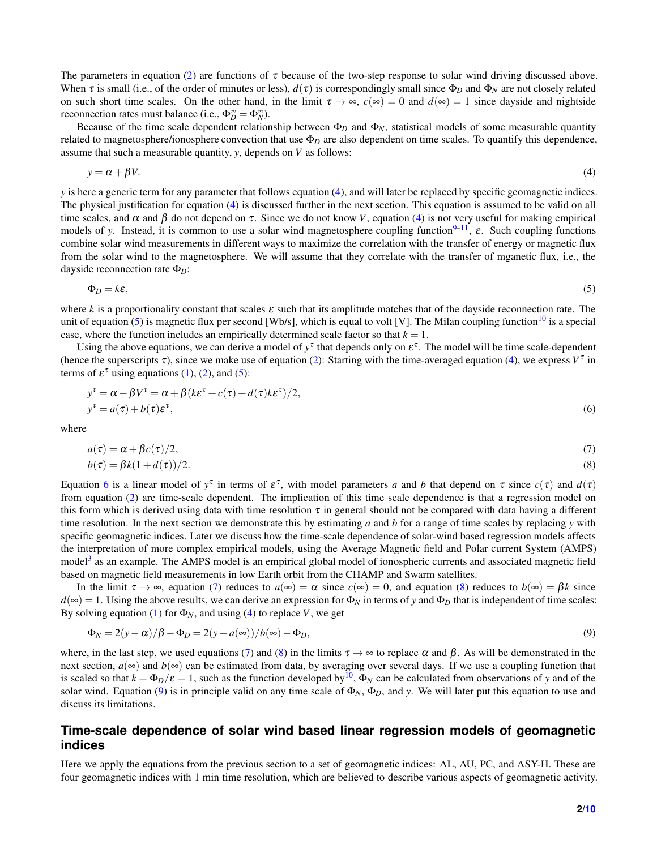The parameters in equation [\(2\)](#page-0-0) are functions of  $\tau$  because of the two-step response to solar wind driving discussed above. When  $\tau$  is small (i.e., of the order of minutes or less),  $d(\tau)$  is correspondingly small since  $\Phi_D$  and  $\Phi_N$  are not closely related on such short time scales. On the other hand, in the limit  $\tau \to \infty$ ,  $c(\infty) = 0$  and  $d(\infty) = 1$  since dayside and nightside reconnection rates must balance (i.e.,  $\Phi_D^{\infty} = \Phi_N^{\infty}$ ).

Because of the time scale dependent relationship between  $\Phi_D$  and  $\Phi_N$ , statistical models of some measurable quantity related to magnetosphere/ionosphere convection that use  $\Phi_D$  are also dependent on time scales. To quantify this dependence, assume that such a measurable quantity, *y*, depends on *V* as follows:

<span id="page-1-0"></span>
$$
y = \alpha + \beta V. \tag{4}
$$

*y* is here a generic term for any parameter that follows equation [\(4\)](#page-1-0), and will later be replaced by specific geomagnetic indices. The physical justification for equation [\(4\)](#page-1-0) is discussed further in the next section. This equation is assumed to be valid on all time scales, and  $\alpha$  and  $\beta$  do not depend on  $\tau$ . Since we do not know *V*, equation [\(4\)](#page-1-0) is not very useful for making empirical models of *y*. Instead, it is common to use a solar wind magnetosphere coupling function<sup>[9–](#page-8-6)[11](#page-9-0)</sup>, ε. Such coupling functions combine solar wind measurements in different ways to maximize the correlation with the transfer of energy or magnetic flux from the solar wind to the magnetosphere. We will assume that they correlate with the transfer of mganetic flux, i.e., the dayside reconnection rate Φ*D*:

<span id="page-1-1"></span>
$$
\Phi_D = k\varepsilon,\tag{5}
$$

where *k* is a proportionality constant that scales <sup>ε</sup> such that its amplitude matches that of the dayside reconnection rate. The unit of equation [\(5\)](#page-1-1) is magnetic flux per second [Wb/s], which is equal to volt [V]. The Milan coupling function<sup>[10](#page-8-7)</sup> is a special case, where the function includes an empirically determined scale factor so that  $k = 1$ .

Using the above equations, we can derive a model of  $y^{\tau}$  that depends only on  $\varepsilon^{\tau}$ . The model will be time scale-dependent (hence the superscripts  $\tau$ ), since we make use of equation [\(2\)](#page-0-0): Starting with the time-averaged equation [\(4\)](#page-1-0), we express  $V^{\tau}$  in terms of  $\varepsilon^{\tau}$  using equations [\(1\)](#page-0-1), [\(2\)](#page-0-0), and [\(5\)](#page-1-1):

$$
y^{\tau} = \alpha + \beta V^{\tau} = \alpha + \beta (k \varepsilon^{\tau} + c(\tau) + d(\tau) k \varepsilon^{\tau})/2,
$$
  
\n
$$
y^{\tau} = a(\tau) + b(\tau) \varepsilon^{\tau},
$$
\n(6)

where

<span id="page-1-2"></span>
$$
a(\tau) = \alpha + \beta c(\tau)/2,\tag{7}
$$

<span id="page-1-4"></span><span id="page-1-3"></span>
$$
b(\tau) = \beta k(1 + d(\tau))/2. \tag{8}
$$

Equation [6](#page-1-2) is a linear model of  $y^{\tau}$  in terms of  $\varepsilon^{\tau}$ , with model parameters *a* and *b* that depend on  $\tau$  since  $c(\tau)$  and  $d(\tau)$ from equation [\(2\)](#page-0-0) are time-scale dependent. The implication of this time scale dependence is that a regression model on this form which is derived using data with time resolution  $\tau$  in general should not be compared with data having a different time resolution. In the next section we demonstrate this by estimating *a* and *b* for a range of time scales by replacing *y* with specific geomagnetic indices. Later we discuss how the time-scale dependence of solar-wind based regression models affects the interpretation of more complex empirical models, using the Average Magnetic field and Polar current System (AMPS) model<sup>[3](#page-8-1)</sup> as an example. The AMPS model is an empirical global model of ionospheric currents and associated magnetic field based on magnetic field measurements in low Earth orbit from the CHAMP and Swarm satellites.

In the limit  $\tau \to \infty$ , equation [\(7\)](#page-1-3) reduces to  $a(\infty) = \alpha$  since  $c(\infty) = 0$ , and equation [\(8\)](#page-1-4) reduces to  $b(\infty) = \beta k$  since  $d(\infty) = 1$ . Using the above results, we can derive an expression for  $\Phi_N$  in terms of y and  $\Phi_D$  that is independent of time scales: By solving equation [\(1\)](#page-0-1) for  $\Phi_N$ , and using [\(4\)](#page-1-0) to replace *V*, we get

<span id="page-1-5"></span>
$$
\Phi_N = 2(y - \alpha)/\beta - \Phi_D = 2(y - a(\infty))/b(\infty) - \Phi_D,
$$
\n(9)

where, in the last step, we used equations [\(7\)](#page-1-3) and [\(8\)](#page-1-4) in the limits  $\tau \to \infty$  to replace  $\alpha$  and  $\beta$ . As will be demonstrated in the next section,  $a(\infty)$  and  $b(\infty)$  can be estimated from data, by averaging over several days. If we use a coupling function that is scaled so that  $k = \Phi_D/\varepsilon = 1$ , such as the function developed by  $^{10}$  $^{10}$  $^{10}$ ,  $\Phi_N$  can be calculated from observations of *y* and of the solar wind. Equation [\(9\)](#page-1-5) is in principle valid on any time scale of  $\Phi_N$ ,  $\Phi_D$ , and *y*. We will later put this equation to use and discuss its limitations.

## **Time-scale dependence of solar wind based linear regression models of geomagnetic indices**

Here we apply the equations from the previous section to a set of geomagnetic indices: AL, AU, PC, and ASY-H. These are four geomagnetic indices with 1 min time resolution, which are believed to describe various aspects of geomagnetic activity.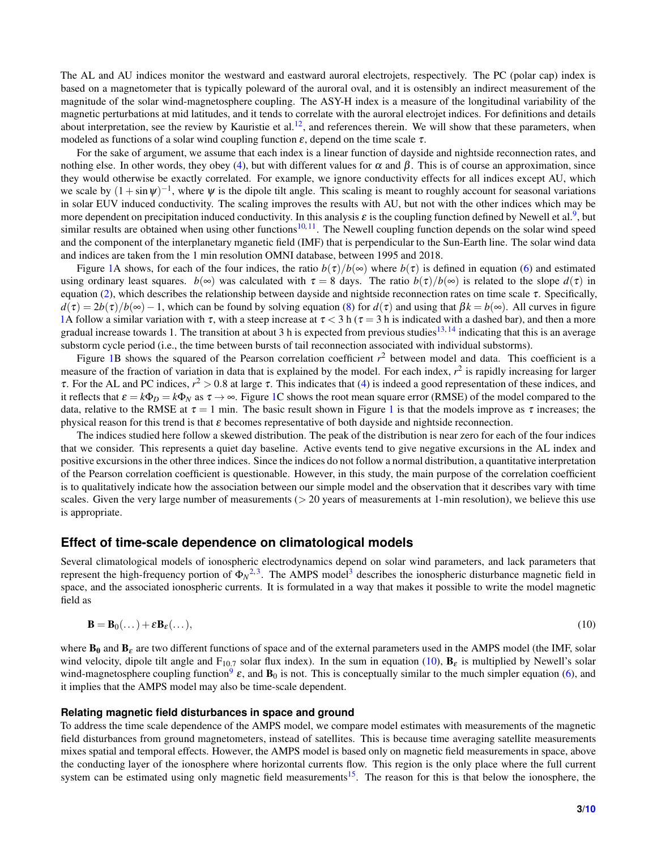The AL and AU indices monitor the westward and eastward auroral electrojets, respectively. The PC (polar cap) index is based on a magnetometer that is typically poleward of the auroral oval, and it is ostensibly an indirect measurement of the magnitude of the solar wind-magnetosphere coupling. The ASY-H index is a measure of the longitudinal variability of the magnetic perturbations at mid latitudes, and it tends to correlate with the auroral electrojet indices. For definitions and details about interpretation, see the review by Kauristie et al.<sup>[12](#page-9-2)</sup>, and references therein. We will show that these parameters, when modeled as functions of a solar wind coupling function  $\varepsilon$ , depend on the time scale  $\tau$ .

For the sake of argument, we assume that each index is a linear function of dayside and nightside reconnection rates, and nothing else. In other words, they obey [\(4\)](#page-1-0), but with different values for  $\alpha$  and  $\beta$ . This is of course an approximation, since they would otherwise be exactly correlated. For example, we ignore conductivity effects for all indices except AU, which we scale by  $(1 + \sin \psi)^{-1}$ , where  $\psi$  is the dipole tilt angle. This scaling is meant to roughly account for seasonal variations in solar EUV induced conductivity. The scaling improves the results with AU, but not with the other indices which may be more dependent on precipitation induced conductivity. In this analysis  $\varepsilon$  is the coupling function defined by Newell et al.<sup>[9](#page-8-6)</sup>, but similar results are obtained when using other functions<sup>[10,](#page-8-7)[11](#page-9-0)</sup>. The Newell coupling function depends on the solar wind speed and the component of the interplanetary mganetic field (IMF) that is perpendicular to the Sun-Earth line. The solar wind data and indices are taken from the 1 min resolution OMNI database, between 1995 and 2018.

Figure [1A](#page-3-0) shows, for each of the four indices, the ratio  $b(\tau)/b(\infty)$  where  $b(\tau)$  is defined in equation [\(6\)](#page-1-2) and estimated using ordinary least squares. *b*(∞) was calculated with  $\tau = 8$  days. The ratio *b*( $\tau$ )/*b*(∞) is related to the slope *d*( $\tau$ ) in equation [\(2\)](#page-0-0), which describes the relationship between dayside and nightside reconnection rates on time scale τ. Specifically,  $d(\tau) = 2b(\tau)/b(\infty) - 1$ , which can be found by solving equation [\(8\)](#page-1-4) for  $d(\tau)$  and using that  $\beta k = b(\infty)$ . All curves in figure [1A](#page-3-0) follow a similar variation with  $\tau$ , with a steep increase at  $\tau$  < 3 h ( $\tau$  = 3 h is indicated with a dashed bar), and then a more gradual increase towards 1. The transition at about 3 h is expected from previous studies<sup>[13,](#page-9-3)[14](#page-9-4)</sup> indicating that this is an average substorm cycle period (i.e., the time between bursts of tail reconnection associated with individual substorms).

Figure [1B](#page-3-0) shows the squared of the Pearson correlation coefficient  $r^2$  between model and data. This coefficient is a measure of the fraction of variation in data that is explained by the model. For each index,  $r^2$  is rapidly increasing for larger  $\tau$ . For the AL and PC indices,  $r^2 > 0.8$  at large  $\tau$ . This indicates that [\(4\)](#page-1-0) is indeed a good representation of these indices, and it reflects that  $\varepsilon = k\Phi_D = k\Phi_N$  as  $\tau \to \infty$ . Figure [1C](#page-3-0) shows the root mean square error (RMSE) of the model compared to the data, relative to the RMSE at  $\tau = 1$  $\tau = 1$  min. The basic result shown in Figure 1 is that the models improve as  $\tau$  increases; the physical reason for this trend is that  $\varepsilon$  becomes representative of both dayside and nightside reconnection.

The indices studied here follow a skewed distribution. The peak of the distribution is near zero for each of the four indices that we consider. This represents a quiet day baseline. Active events tend to give negative excursions in the AL index and positive excursions in the other three indices. Since the indices do not follow a normal distribution, a quantitative interpretation of the Pearson correlation coefficient is questionable. However, in this study, the main purpose of the correlation coefficient is to qualitatively indicate how the association between our simple model and the observation that it describes vary with time scales. Given the very large number of measurements  $(> 20$  years of measurements at 1-min resolution), we believe this use is appropriate.

## **Effect of time-scale dependence on climatological models**

Several climatological models of ionospheric electrodynamics depend on solar wind parameters, and lack parameters that represent the high-frequency portion of  $\Phi_N^{2,3}$  $\Phi_N^{2,3}$  $\Phi_N^{2,3}$  $\Phi_N^{2,3}$ . The AMPS model<sup>3</sup> describes the ionospheric disturbance magnetic field in space, and the associated ionospheric currents. It is formulated in a way that makes it possible to write the model magnetic field as

<span id="page-2-0"></span>
$$
\mathbf{B} = \mathbf{B}_0(\dots) + \varepsilon \mathbf{B}_{\varepsilon}(\dots),\tag{10}
$$

where  $B_0$  and  $B_\varepsilon$  are two different functions of space and of the external parameters used in the AMPS model (the IMF, solar wind velocity, dipole tilt angle and  $F_{10.7}$  solar flux index). In the sum in equation [\(10\)](#page-2-0),  $B_{\epsilon}$  is multiplied by Newell's solar wind-magnetosphere coupling function<sup>[9](#page-8-6)</sup>  $\varepsilon$ , and  $\mathbf{B}_0$  is not. This is conceptually similar to the much simpler equation [\(6\)](#page-1-2), and it implies that the AMPS model may also be time-scale dependent.

#### **Relating magnetic field disturbances in space and ground**

To address the time scale dependence of the AMPS model, we compare model estimates with measurements of the magnetic field disturbances from ground magnetometers, instead of satellites. This is because time averaging satellite measurements mixes spatial and temporal effects. However, the AMPS model is based only on magnetic field measurements in space, above the conducting layer of the ionosphere where horizontal currents flow. This region is the only place where the full current system can be estimated using only magnetic field measurements<sup>[15](#page-9-5)</sup>. The reason for this is that below the ionosphere, the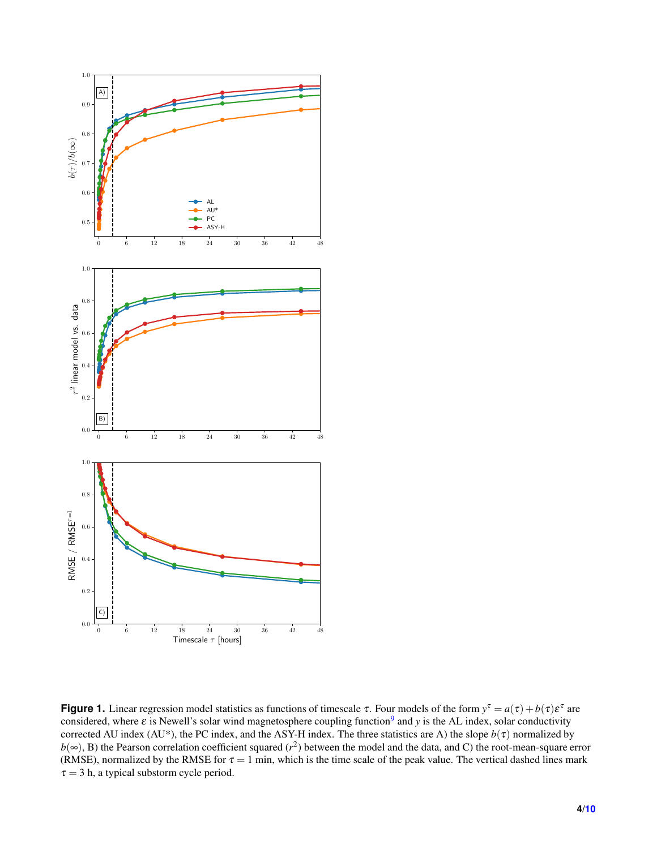<span id="page-3-0"></span>

**Figure 1.** Linear regression model statistics as functions of timescale  $\tau$ . Four models of the form  $y^{\tau} = a(\tau) + b(\tau) \varepsilon^{\tau}$  are considered, where  $\varepsilon$  is Newell's solar wind magnetosphere coupling function<sup>[9](#page-8-6)</sup> and *y* is the AL index, solar conductivity corrected AU index (AU\*), the PC index, and the ASY-H index. The three statistics are A) the slope  $b(\tau)$  normalized by  $b(\infty)$ , B) the Pearson correlation coefficient squared ( $r^2$ ) between the model and the data, and C) the root-mean-square error (RMSE), normalized by the RMSE for  $\tau = 1$  min, which is the time scale of the peak value. The vertical dashed lines mark  $\tau = 3$  h, a typical substorm cycle period.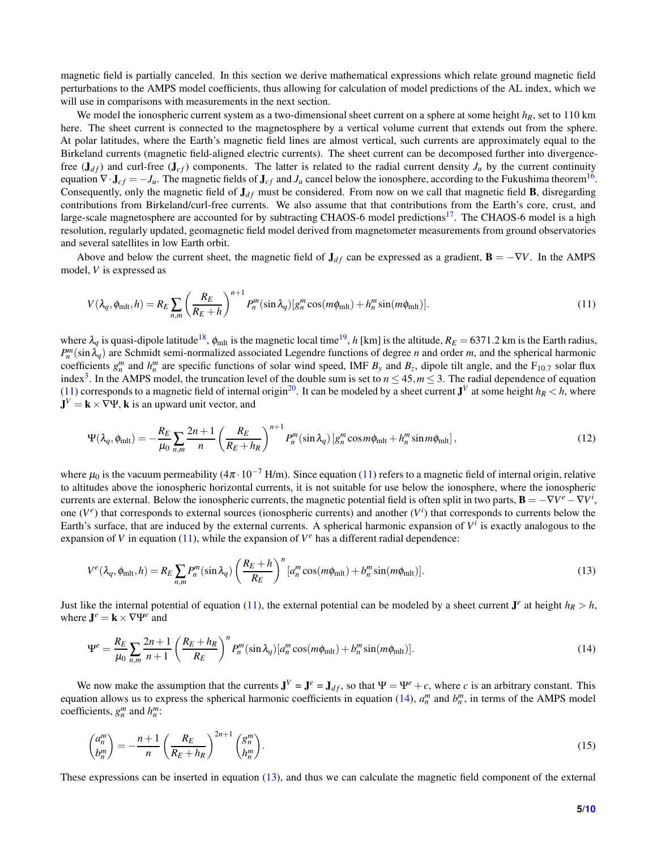magnetic field is partially canceled. In this section we derive mathematical expressions which relate ground magnetic field perturbations to the AMPS model coefficients, thus allowing for calculation of model predictions of the AL index, which we will use in comparisons with measurements in the next section.

We model the ionospheric current system as a two-dimensional sheet current on a sphere at some height *hR*, set to 110 km here. The sheet current is connected to the magnetosphere by a vertical volume current that extends out from the sphere. At polar latitudes, where the Earth's magnetic field lines are almost vertical, such currents are approximately equal to the Birkeland currents (magnetic field-aligned electric currents). The sheet current can be decomposed further into divergencefree  $(\mathbf{J}_{df})$  and curl-free  $(\mathbf{J}_{cf})$  components. The latter is related to the radial current density  $J_u$  by the current continuity equation  $\nabla \cdot \mathbf{J}_{cf} = -J_u$ . The magnetic fields of  $\mathbf{J}_{cf}$  and  $J_u$  cancel below the ionosphere, according to the Fukushima theorem<sup>[16](#page-9-6)</sup>. Consequently, only the magnetic field of  $J_{df}$  must be considered. From now on we call that magnetic field **B**, disregarding contributions from Birkeland/curl-free currents. We also assume that that contributions from the Earth's core, crust, and large-scale magnetosphere are accounted for by subtracting CHAOS-6 model predictions<sup>[17](#page-9-7)</sup>. The CHAOS-6 model is a high resolution, regularly updated, geomagnetic field model derived from magnetometer measurements from ground observatories and several satellites in low Earth orbit.

Above and below the current sheet, the magnetic field of  $J_{df}$  can be expressed as a gradient,  $B = -\nabla V$ . In the AMPS model, *V* is expressed as

<span id="page-4-0"></span>
$$
V(\lambda_q, \phi_{\text{mlt}}, h) = R_E \sum_{n,m} \left( \frac{R_E}{R_E + h} \right)^{n+1} P_n^m(\sin \lambda_q) [g_n^m \cos(m\phi_{\text{mlt}}) + h_n^m \sin(m\phi_{\text{mlt}})]. \tag{11}
$$

where  $\lambda_q$  is quasi-dipole latitude<sup>[18](#page-9-8)</sup>,  $\phi_{mlt}$  is the magnetic local time<sup>[19](#page-9-9)</sup>, *h* [km] is the altitude,  $R_E = 6371.2$  km is the Earth radius,  $P_n^m(\sin \lambda_q)$  are Schmidt semi-normalized associated Legendre functions of degree *n* and order *m*, and the spherical harmonic coefficients  $g_n^m$  and  $h_n^m$  are specific functions of solar wind speed, IMF  $B_y$  and  $B_z$ , dipole tilt angle, and the F<sub>10.7</sub> solar flux index<sup>[3](#page-8-1)</sup>. In the AMPS model, the truncation level of the double sum is set to  $n \leq 45$ ,  $m \leq 3$ . The radial dependence of equation [\(11\)](#page-4-0) corresponds to a magnetic field of internal origin<sup>[20](#page-9-10)</sup>. It can be modeled by a sheet current  $J^V$  at some height  $h_R < h$ , where  $J^V = k \times \nabla \Psi$ , k is an upward unit vector, and

$$
\Psi(\lambda_q, \phi_{\text{mlt}}) = -\frac{R_E}{\mu_0} \sum_{n,m} \frac{2n+1}{n} \left(\frac{R_E}{R_E + h_R}\right)^{n+1} P_n^m(\sin \lambda_q) \left[g_n^m \cos m\phi_{\text{mlt}} + h_n^m \sin m\phi_{\text{mlt}}\right],\tag{12}
$$

where  $\mu_0$  is the vacuum permeability ( $4\pi \cdot 10^{-7}$  H/m). Since equation [\(11\)](#page-4-0) refers to a magnetic field of internal origin, relative to altitudes above the ionospheric horizontal currents, it is not suitable for use below the ionosphere, where the ionospheric currents are external. Below the ionospheric currents, the magnetic potential field is often split in two parts,  $\mathbf{B} = -\nabla V^e - \nabla V^i$ , one  $(V^e)$  that corresponds to external sources (ionospheric currents) and another  $(V^i)$  that corresponds to currents below the Earth's surface, that are induced by the external currents. A spherical harmonic expansion of  $V^i$  is exactly analogous to the expansion of *V* in equation [\(11\)](#page-4-0), while the expansion of  $V^e$  has a different radial dependence:

<span id="page-4-2"></span>
$$
V^{e}(\lambda_{q}, \phi_{\text{mlt}}, h) = R_{E} \sum_{n,m} P_{n}^{m} (\sin \lambda_{q}) \left( \frac{R_{E} + h}{R_{E}} \right)^{n} \left[ a_{n}^{m} \cos(m\phi_{\text{mlt}}) + b_{n}^{m} \sin(m\phi_{\text{mlt}}) \right]. \tag{13}
$$

Just like the internal potential of equation [\(11\)](#page-4-0), the external potential can be modeled by a sheet current  $J^e$  at height  $h_R > h$ , where  $J^e = k \times \nabla \Psi^e$  and

<span id="page-4-1"></span>
$$
\Psi^e = \frac{R_E}{\mu_0} \sum_{n,m} \frac{2n+1}{n+1} \left( \frac{R_E + h_R}{R_E} \right)^n P_n^m(\sin \lambda_q) [a_n^m \cos(m\phi_{\text{mlt}}) + b_n^m \sin(m\phi_{\text{mlt}})]. \tag{14}
$$

We now make the assumption that the currents  $J^V = J^e = J_{df}$ , so that  $\Psi = \Psi^e + c$ , where *c* is an arbitrary constant. This equation allows us to express the spherical harmonic coefficients in equation [\(14\)](#page-4-1),  $a_n^m$  and  $b_n^m$ , in terms of the AMPS model coefficients,  $g_n^m$  and  $h_n^m$ :

$$
\begin{pmatrix} a_n^m \\ b_n^m \end{pmatrix} = -\frac{n+1}{n} \left( \frac{R_E}{R_E + h_R} \right)^{2n+1} \begin{pmatrix} g_n^m \\ h_n^m \end{pmatrix}.
$$
\n(15)

These expressions can be inserted in equation [\(13\)](#page-4-2), and thus we can calculate the magnetic field component of the external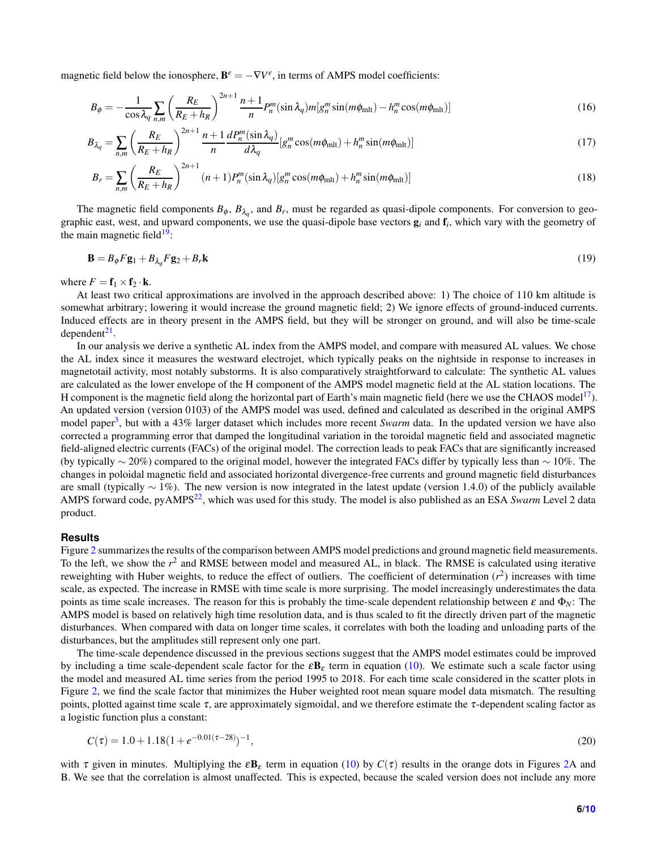magnetic field below the ionosphere,  $\mathbf{B}^e = -\nabla V^e$ , in terms of AMPS model coefficients:

$$
B_{\phi} = -\frac{1}{\cos \lambda_q} \sum_{n,m} \left( \frac{R_E}{R_E + h_R} \right)^{2n+1} \frac{n+1}{n} P_n^m(\sin \lambda_q) m[g_n^m \sin(m\phi_{\rm mlt}) - h_n^m \cos(m\phi_{\rm mlt})] \tag{16}
$$

$$
B_{\lambda_q} = \sum_{n,m} \left( \frac{R_E}{R_E + h_R} \right)^{2n+1} \frac{n+1}{n} \frac{dP_n^m(\sin \lambda_q)}{d\lambda_q} \left[ g_n^m \cos(m\phi_{\text{mlt}}) + h_n^m \sin(m\phi_{\text{mlt}}) \right]
$$
(17)

$$
B_r = \sum_{n,m} \left(\frac{R_E}{R_E + h_R}\right)^{2n+1} (n+1) P_n^m(\sin \lambda_q) \left[g_n^m \cos(m\phi_{\text{mlt}}) + h_n^m \sin(m\phi_{\text{mlt}})\right]
$$
(18)

The magnetic field components  $B_{\phi}$ ,  $B_{\lambda_q}$ , and  $B_r$ , must be regarded as quasi-dipole components. For conversion to geographic east, west, and upward components, we use the quasi-dipole base vectors g*<sup>i</sup>* and f*<sup>i</sup>* , which vary with the geometry of the main magnetic field $19$ :

$$
\mathbf{B} = B_{\phi} F \mathbf{g}_1 + B_{\lambda_g} F \mathbf{g}_2 + B_r \mathbf{k} \tag{19}
$$

where  $F = \mathbf{f}_1 \times \mathbf{f}_2 \cdot \mathbf{k}$ .

At least two critical approximations are involved in the approach described above: 1) The choice of 110 km altitude is somewhat arbitrary; lowering it would increase the ground magnetic field; 2) We ignore effects of ground-induced currents. Induced effects are in theory present in the AMPS field, but they will be stronger on ground, and will also be time-scale dependent<sup>[21](#page-9-11)</sup>.

In our analysis we derive a synthetic AL index from the AMPS model, and compare with measured AL values. We chose the AL index since it measures the westward electrojet, which typically peaks on the nightside in response to increases in magnetotail activity, most notably substorms. It is also comparatively straightforward to calculate: The synthetic AL values are calculated as the lower envelope of the H component of the AMPS model magnetic field at the AL station locations. The H component is the magnetic field along the horizontal part of Earth's main magnetic field (here we use the CHAOS model<sup>[17](#page-9-7)</sup>). An updated version (version 0103) of the AMPS model was used, defined and calculated as described in the original AMPS model paper<sup>[3](#page-8-1)</sup>, but with a 43% larger dataset which includes more recent *Swarm* data. In the updated version we have also corrected a programming error that damped the longitudinal variation in the toroidal magnetic field and associated magnetic field-aligned electric currents (FACs) of the original model. The correction leads to peak FACs that are significantly increased (by typically ∼ 20%) compared to the original model, however the integrated FACs differ by typically less than ∼ 10%. The changes in poloidal magnetic field and associated horizontal divergence-free currents and ground magnetic field disturbances are small (typically  $\sim 1\%$ ). The new version is now integrated in the latest update (version 1.4.0) of the publicly available AMPS forward code, pyAMPS[22](#page-9-12), which was used for this study. The model is also published as an ESA *Swarm* Level 2 data product.

#### **Results**

Figure [2](#page-6-0) summarizes the results of the comparison between AMPS model predictions and ground magnetic field measurements. To the left, we show the *r* 2 and RMSE between model and measured AL, in black. The RMSE is calculated using iterative reweighting with Huber weights, to reduce the effect of outliers. The coefficient of determination ( $r^2$ ) increases with time scale, as expected. The increase in RMSE with time scale is more surprising. The model increasingly underestimates the data points as time scale increases. The reason for this is probably the time-scale dependent relationship between  $\varepsilon$  and  $\Phi_N$ : The AMPS model is based on relatively high time resolution data, and is thus scaled to fit the directly driven part of the magnetic disturbances. When compared with data on longer time scales, it correlates with both the loading and unloading parts of the disturbances, but the amplitudes still represent only one part.

The time-scale dependence discussed in the previous sections suggest that the AMPS model estimates could be improved by including a time scale-dependent scale factor for the  $\epsilon B_{\epsilon}$  term in equation [\(10\)](#page-2-0). We estimate such a scale factor using the model and measured AL time series from the period 1995 to 2018. For each time scale considered in the scatter plots in Figure [2,](#page-6-0) we find the scale factor that minimizes the Huber weighted root mean square model data mismatch. The resulting points, plotted against time scale  $\tau$ , are approximately sigmoidal, and we therefore estimate the  $\tau$ -dependent scaling factor as a logistic function plus a constant:

<span id="page-5-0"></span>
$$
C(\tau) = 1.0 + 1.18(1 + e^{-0.01(\tau - 28)})^{-1},\tag{20}
$$

with  $\tau$  given in minutes. Multiplying the  $\epsilon \mathbf{B}_{\epsilon}$  term in equation [\(10\)](#page-2-0) by  $C(\tau)$  results in the orange dots in Figures [2A](#page-6-0) and B. We see that the correlation is almost unaffected. This is expected, because the scaled version does not include any more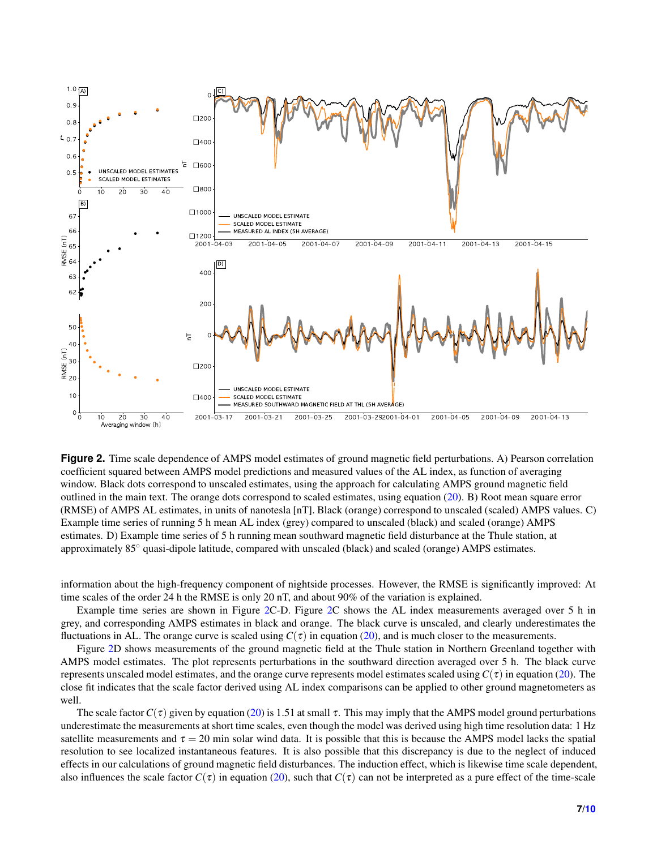<span id="page-6-0"></span>

**Figure 2.** Time scale dependence of AMPS model estimates of ground magnetic field perturbations. A) Pearson correlation coefficient squared between AMPS model predictions and measured values of the AL index, as function of averaging window. Black dots correspond to unscaled estimates, using the approach for calculating AMPS ground magnetic field outlined in the main text. The orange dots correspond to scaled estimates, using equation  $(20)$ . B) Root mean square error (RMSE) of AMPS AL estimates, in units of nanotesla [nT]. Black (orange) correspond to unscaled (scaled) AMPS values. C) Example time series of running 5 h mean AL index (grey) compared to unscaled (black) and scaled (orange) AMPS estimates. D) Example time series of 5 h running mean southward magnetic field disturbance at the Thule station, at approximately 85◦ quasi-dipole latitude, compared with unscaled (black) and scaled (orange) AMPS estimates.

information about the high-frequency component of nightside processes. However, the RMSE is significantly improved: At time scales of the order 24 h the RMSE is only 20 nT, and about 90% of the variation is explained.

Example time series are shown in Figure [2C](#page-6-0)-D. Figure [2C](#page-6-0) shows the AL index measurements averaged over 5 h in grey, and corresponding AMPS estimates in black and orange. The black curve is unscaled, and clearly underestimates the fluctuations in AL. The orange curve is scaled using  $C(\tau)$  in equation [\(20\)](#page-5-0), and is much closer to the measurements.

Figure [2D](#page-6-0) shows measurements of the ground magnetic field at the Thule station in Northern Greenland together with AMPS model estimates. The plot represents perturbations in the southward direction averaged over 5 h. The black curve represents unscaled model estimates, and the orange curve represents model estimates scaled using  $C(\tau)$  in equation [\(20\)](#page-5-0). The close fit indicates that the scale factor derived using AL index comparisons can be applied to other ground magnetometers as well.

The scale factor  $C(\tau)$  given by equation [\(20\)](#page-5-0) is 1.51 at small  $\tau$ . This may imply that the AMPS model ground perturbations underestimate the measurements at short time scales, even though the model was derived using high time resolution data: 1 Hz satellite measurements and  $\tau = 20$  min solar wind data. It is possible that this is because the AMPS model lacks the spatial resolution to see localized instantaneous features. It is also possible that this discrepancy is due to the neglect of induced effects in our calculations of ground magnetic field disturbances. The induction effect, which is likewise time scale dependent, also influences the scale factor  $C(\tau)$  in equation [\(20\)](#page-5-0), such that  $C(\tau)$  can not be interpreted as a pure effect of the time-scale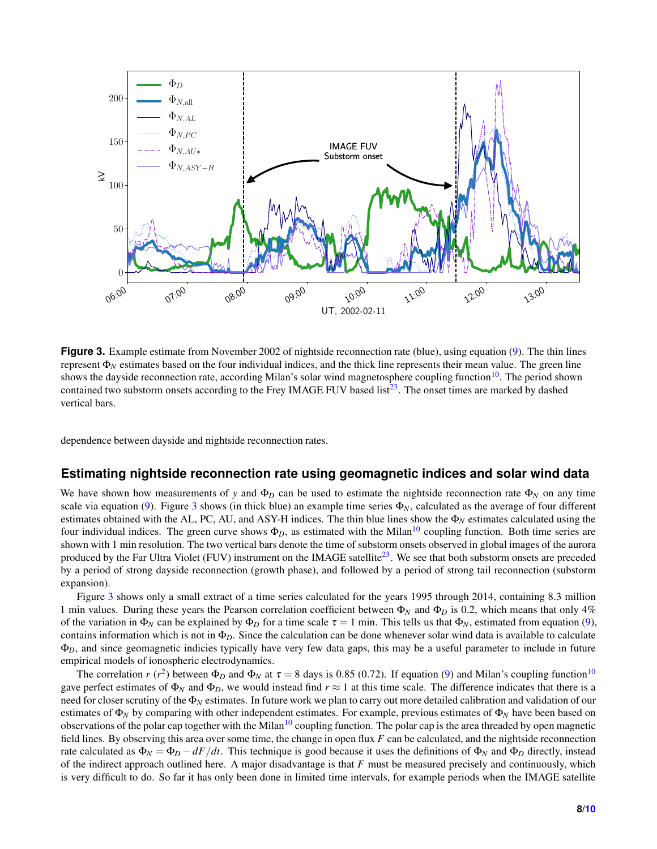<span id="page-7-0"></span>

**Figure 3.** Example estimate from November 2002 of nightside reconnection rate (blue), using equation [\(9\)](#page-1-5). The thin lines represent Φ*<sup>N</sup>* estimates based on the four individual indices, and the thick line represents their mean value. The green line shows the dayside reconnection rate, according Milan's solar wind magnetosphere coupling function $10$ . The period shown contained two substorm onsets according to the Frey IMAGE FUV based list<sup>[23](#page-9-13)</sup>. The onset times are marked by dashed vertical bars.

dependence between dayside and nightside reconnection rates.

## **Estimating nightside reconnection rate using geomagnetic indices and solar wind data**

We have shown how measurements of *y* and  $\Phi_D$  can be used to estimate the nightside reconnection rate  $\Phi_N$  on any time scale via equation [\(9\)](#page-1-5). Figure [3](#page-7-0) shows (in thick blue) an example time series  $\Phi_N$ , calculated as the average of four different estimates obtained with the AL, PC, AU, and ASY-H indices. The thin blue lines show the  $\Phi_N$  estimates calculated using the four individual indices. The green curve shows  $\Phi_D$ , as estimated with the Milan<sup>[10](#page-8-7)</sup> coupling function. Both time series are shown with 1 min resolution. The two vertical bars denote the time of substorm onsets observed in global images of the aurora produced by the Far Ultra Violet (FUV) instrument on the IMAGE satellite<sup>[23](#page-9-13)</sup>. We see that both substorm onsets are preceded by a period of strong dayside reconnection (growth phase), and followed by a period of strong tail reconnection (substorm expansion).

Figure [3](#page-7-0) shows only a small extract of a time series calculated for the years 1995 through 2014, containing 8.3 million 1 min values. During these years the Pearson correlation coefficient between  $\Phi_N$  and  $\Phi_D$  is 0.2, which means that only 4% of the variation in  $\Phi_N$  can be explained by  $\Phi_D$  for a time scale  $\tau = 1$  min. This tells us that  $\Phi_N$ , estimated from equation [\(9\)](#page-1-5), contains information which is not in  $\Phi_D$ . Since the calculation can be done whenever solar wind data is available to calculate Φ*D*, and since geomagnetic indicies typically have very few data gaps, this may be a useful parameter to include in future empirical models of ionospheric electrodynamics.

The correlation  $r(r^2)$  between  $\Phi_D$  and  $\Phi_N$  at  $\tau = 8$  days is 0.85 (0.72). If equation [\(9\)](#page-1-5) and Milan's coupling function<sup>[10](#page-8-7)</sup> gave perfect estimates of  $\Phi_N$  and  $\Phi_D$ , we would instead find  $r \approx 1$  at this time scale. The difference indicates that there is a need for closer scrutiny of the Φ*<sup>N</sup>* estimates. In future work we plan to carry out more detailed calibration and validation of our estimates of Φ*<sup>N</sup>* by comparing with other independent estimates. For example, previous estimates of Φ*<sup>N</sup>* have been based on observations of the polar cap together with the Milan<sup>[10](#page-8-7)</sup> coupling function. The polar cap is the area threaded by open magnetic field lines. By observing this area over some time, the change in open flux *F* can be calculated, and the nightside reconnection rate calculated as  $\Phi_N = \Phi_D - dF/dt$ . This technique is good because it uses the definitions of  $\Phi_N$  and  $\Phi_D$  directly, instead of the indirect approach outlined here. A major disadvantage is that *F* must be measured precisely and continuously, which is very difficult to do. So far it has only been done in limited time intervals, for example periods when the IMAGE satellite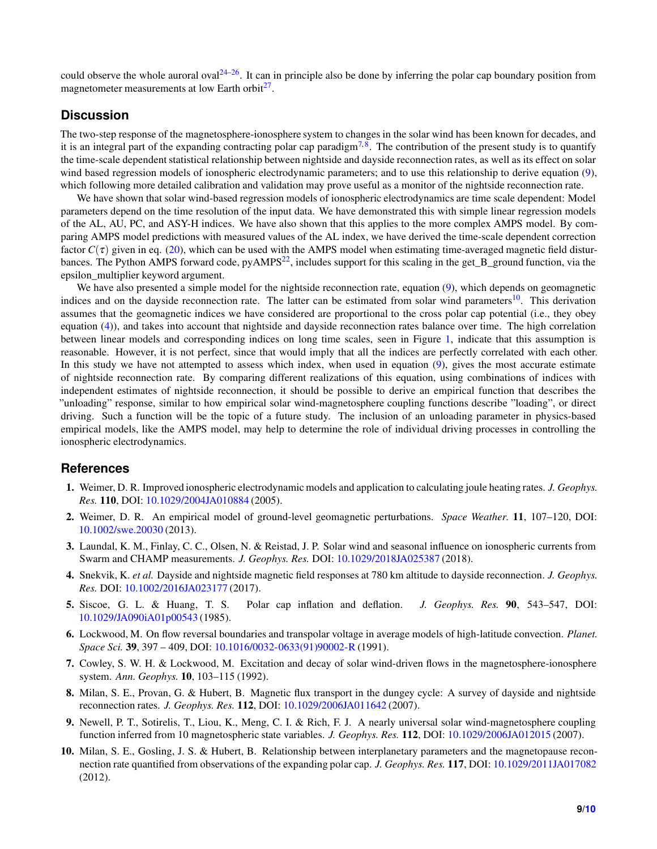could observe the whole auroral oval  $24-26$  $24-26$ . It can in principle also be done by inferring the polar cap boundary position from magnetometer measurements at low Earth orbit<sup>[27](#page-9-16)</sup>.

## **Discussion**

The two-step response of the magnetosphere-ionosphere system to changes in the solar wind has been known for decades, and it is an integral part of the expanding contracting polar cap paradigm<sup>[7,](#page-8-9)[8](#page-8-4)</sup>. The contribution of the present study is to quantify the time-scale dependent statistical relationship between nightside and dayside reconnection rates, as well as its effect on solar wind based regression models of ionospheric electrodynamic parameters; and to use this relationship to derive equation [\(9\)](#page-1-5), which following more detailed calibration and validation may prove useful as a monitor of the nightside reconnection rate.

We have shown that solar wind-based regression models of ionospheric electrodynamics are time scale dependent: Model parameters depend on the time resolution of the input data. We have demonstrated this with simple linear regression models of the AL, AU, PC, and ASY-H indices. We have also shown that this applies to the more complex AMPS model. By comparing AMPS model predictions with measured values of the AL index, we have derived the time-scale dependent correction factor  $C(\tau)$  given in eq. [\(20\)](#page-5-0), which can be used with the AMPS model when estimating time-averaged magnetic field disturbances. The Python AMPS forward code,  $pyAMPS<sup>22</sup>$  $pyAMPS<sup>22</sup>$  $pyAMPS<sup>22</sup>$ , includes support for this scaling in the get\_B\_ground function, via the epsilon\_multiplier keyword argument.

We have also presented a simple model for the nightside reconnection rate, equation [\(9\)](#page-1-5), which depends on geomagnetic indices and on the dayside reconnection rate. The latter can be estimated from solar wind parameters<sup>[10](#page-8-7)</sup>. This derivation assumes that the geomagnetic indices we have considered are proportional to the cross polar cap potential (i.e., they obey equation [\(4\)](#page-1-0)), and takes into account that nightside and dayside reconnection rates balance over time. The high correlation between linear models and corresponding indices on long time scales, seen in Figure [1,](#page-3-0) indicate that this assumption is reasonable. However, it is not perfect, since that would imply that all the indices are perfectly correlated with each other. In this study we have not attempted to assess which index, when used in equation [\(9\)](#page-1-5), gives the most accurate estimate of nightside reconnection rate. By comparing different realizations of this equation, using combinations of indices with independent estimates of nightside reconnection, it should be possible to derive an empirical function that describes the "unloading" response, similar to how empirical solar wind-magnetosphere coupling functions describe "loading", or direct driving. Such a function will be the topic of a future study. The inclusion of an unloading parameter in physics-based empirical models, like the AMPS model, may help to determine the role of individual driving processes in controlling the ionospheric electrodynamics.

## <span id="page-8-0"></span>**References**

- <span id="page-8-8"></span>1. Weimer, D. R. Improved ionospheric electrodynamic models and application to calculating joule heating rates. *J. Geophys. Res.* 110, DOI: <10.1029/2004JA010884> (2005).
- <span id="page-8-1"></span>2. Weimer, D. R. An empirical model of ground-level geomagnetic perturbations. *Space Weather.* 11, 107–120, DOI: <10.1002/swe.20030> (2013).
- <span id="page-8-2"></span>3. Laundal, K. M., Finlay, C. C., Olsen, N. & Reistad, J. P. Solar wind and seasonal influence on ionospheric currents from Swarm and CHAMP measurements. *J. Geophys. Res.* DOI: <10.1029/2018JA025387> (2018).
- <span id="page-8-3"></span>4. Snekvik, K. *et al.* Dayside and nightside magnetic field responses at 780 km altitude to dayside reconnection. *J. Geophys. Res.* DOI: <10.1002/2016JA023177> (2017).
- <span id="page-8-5"></span>5. Siscoe, G. L. & Huang, T. S. Polar cap inflation and deflation. *J. Geophys. Res.* 90, 543–547, DOI: <10.1029/JA090iA01p00543> (1985).
- <span id="page-8-9"></span>6. Lockwood, M. On flow reversal boundaries and transpolar voltage in average models of high-latitude convection. *Planet. Space Sci.* 39, 397 – 409, DOI: [10.1016/0032-0633\(91\)90002-R](10.1016/0032-0633(91)90002-R) (1991).
- <span id="page-8-4"></span>7. Cowley, S. W. H. & Lockwood, M. Excitation and decay of solar wind-driven flows in the magnetosphere-ionosphere system. *Ann. Geophys.* 10, 103–115 (1992).
- <span id="page-8-6"></span>8. Milan, S. E., Provan, G. & Hubert, B. Magnetic flux transport in the dungey cycle: A survey of dayside and nightside reconnection rates. *J. Geophys. Res.* 112, DOI: <10.1029/2006JA011642> (2007).
- <span id="page-8-7"></span>9. Newell, P. T., Sotirelis, T., Liou, K., Meng, C. I. & Rich, F. J. A nearly universal solar wind-magnetosphere coupling function inferred from 10 magnetospheric state variables. *J. Geophys. Res.* 112, DOI: <10.1029/2006JA012015> (2007).
- 10. Milan, S. E., Gosling, J. S. & Hubert, B. Relationship between interplanetary parameters and the magnetopause reconnection rate quantified from observations of the expanding polar cap. *J. Geophys. Res.* 117, DOI: <10.1029/2011JA017082> (2012).